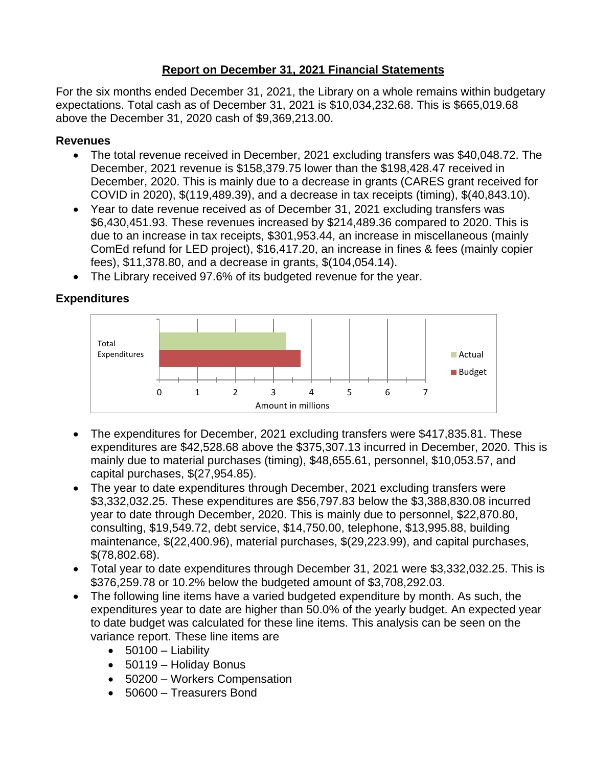## **Report on December 31, 2021 Financial Statements**

For the six months ended December 31, 2021, the Library on a whole remains within budgetary expectations. Total cash as of December 31, 2021 is \$10,034,232.68. This is \$665,019.68 above the December 31, 2020 cash of \$9,369,213.00.

## **Revenues**

- The total revenue received in December, 2021 excluding transfers was \$40,048.72. The December, 2021 revenue is \$158,379.75 lower than the \$198,428.47 received in December, 2020. This is mainly due to a decrease in grants (CARES grant received for COVID in 2020), \$(119,489.39), and a decrease in tax receipts (timing), \$(40,843.10).
- Year to date revenue received as of December 31, 2021 excluding transfers was \$6,430,451.93. These revenues increased by \$214,489.36 compared to 2020. This is due to an increase in tax receipts, \$301,953.44, an increase in miscellaneous (mainly ComEd refund for LED project), \$16,417.20, an increase in fines & fees (mainly copier fees), \$11,378.80, and a decrease in grants, \$(104,054.14).
- The Library received 97.6% of its budgeted revenue for the year.

## 0 1 2 3 4 5 6 7 Amount in millions Actual **Budget** Total Expenditures

**Expenditures**

- The expenditures for December, 2021 excluding transfers were \$417,835.81. These expenditures are \$42,528.68 above the \$375,307.13 incurred in December, 2020. This is mainly due to material purchases (timing), \$48,655.61, personnel, \$10,053.57, and capital purchases, \$(27,954.85).
- The year to date expenditures through December, 2021 excluding transfers were \$3,332,032.25. These expenditures are \$56,797.83 below the \$3,388,830.08 incurred year to date through December, 2020. This is mainly due to personnel, \$22,870.80, consulting, \$19,549.72, debt service, \$14,750.00, telephone, \$13,995.88, building maintenance, \$(22,400.96), material purchases, \$(29,223.99), and capital purchases, \$(78,802.68).
- Total year to date expenditures through December 31, 2021 were \$3,332,032.25. This is \$376,259.78 or 10.2% below the budgeted amount of \$3,708,292.03.
- The following line items have a varied budgeted expenditure by month. As such, the expenditures year to date are higher than 50.0% of the yearly budget. An expected year to date budget was calculated for these line items. This analysis can be seen on the variance report. These line items are
	- $\bullet$  50100 Liability
	- 50119 Holiday Bonus
	- 50200 Workers Compensation
	- 50600 Treasurers Bond